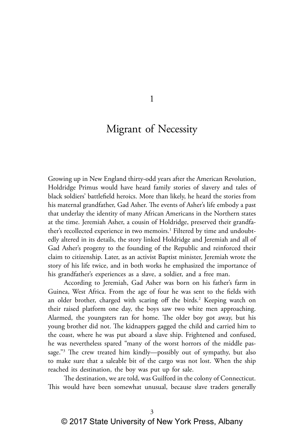1

# Migrant of Necessity

Growing up in New England thirty-odd years after the American Revolution, Holdridge Primus would have heard family stories of slavery and tales of black soldiers' battlefield heroics. More than likely, he heard the stories from his maternal grandfather, Gad Asher. The events of Asher's life embody a past that underlay the identity of many African Americans in the Northern states at the time. Jeremiah Asher, a cousin of Holdridge, preserved their grandfather's recollected experience in two memoirs.<sup>1</sup> Filtered by time and undoubtedly altered in its details, the story linked Holdridge and Jeremiah and all of Gad Asher's progeny to the founding of the Republic and reinforced their claim to citizenship. Later, as an activist Baptist minister, Jeremiah wrote the story of his life twice, and in both works he emphasized the importance of his grandfather's experiences as a slave, a soldier, and a free man.

According to Jeremiah, Gad Asher was born on his father's farm in Guinea, West Africa. From the age of four he was sent to the fields with an older brother, charged with scaring off the birds.<sup>2</sup> Keeping watch on their raised platform one day, the boys saw two white men approaching. Alarmed, the youngsters ran for home. The older boy got away, but his young brother did not. The kidnappers gagged the child and carried him to the coast, where he was put aboard a slave ship. Frightened and confused, he was nevertheless spared "many of the worst horrors of the middle passage."3 The crew treated him kindly—possibly out of sympathy, but also to make sure that a saleable bit of the cargo was not lost. When the ship reached its destination, the boy was put up for sale.

The destination, we are told, was Guilford in the colony of Connecticut. This would have been somewhat unusual, because slave traders generally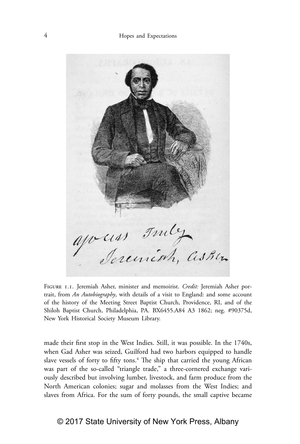

Figure 1.1. Jeremiah Asher, minister and memoirist. *Credit:* Jeremiah Asher portrait, from *An Autobiography*, with details of a visit to England: and some account of the history of the Meeting Street Baptist Church, Providence, RI, and of the Shiloh Baptist Church, Philadelphia, PA. BX6455.A84 A3 1862; neg. #90375d, New York Historical Society Museum Library.

made their first stop in the West Indies. Still, it was possible. In the 1740s, when Gad Asher was seized, Guilford had two harbors equipped to handle slave vessels of forty to fifty tons.<sup>4</sup> The ship that carried the young African was part of the so-called "triangle trade," a three-cornered exchange variously described but involving lumber, livestock, and farm produce from the North American colonies; sugar and molasses from the West Indies; and slaves from Africa. For the sum of forty pounds, the small captive became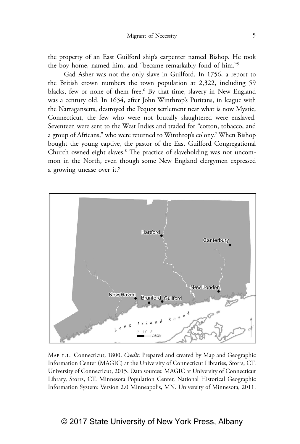the property of an East Guilford ship's carpenter named Bishop. He took the boy home, named him, and "became remarkably fond of him."5

Gad Asher was not the only slave in Guilford. In 1756, a report to the British crown numbers the town population at 2,322, including 59 blacks, few or none of them free.<sup>6</sup> By that time, slavery in New England was a century old. In 1634, after John Winthrop's Puritans, in league with the Narragansetts, destroyed the Pequot settlement near what is now Mystic, Connecticut, the few who were not brutally slaughtered were enslaved. Seventeen were sent to the West Indies and traded for "cotton, tobacco, and a group of Africans," who were returned to Winthrop's colony.7 When Bishop bought the young captive, the pastor of the East Guilford Congregational Church owned eight slaves.<sup>8</sup> The practice of slaveholding was not uncommon in the North, even though some New England clergymen expressed a growing unease over it.<sup>9</sup>



Map 1.1. Connecticut, 1800. *Credit:* Prepared and created by Map and Geographic Information Center (MAGIC) at the University of Connecticut Libraries, Storrs, CT. University of Connecticut, 2015. Data sources: MAGIC at University of Connecticut Library, Storrs, CT. Minnesota Population Center, National Historical Geographic Information System: Version 2.0 Minneapolis, MN. University of Minnesota, 2011.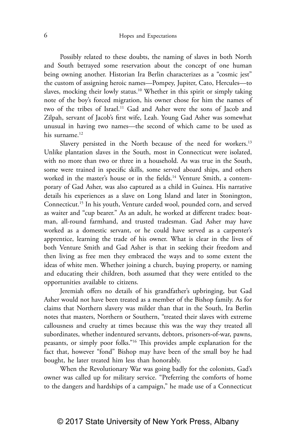Possibly related to these doubts, the naming of slaves in both North and South betrayed some reservation about the concept of one human being owning another. Historian Ira Berlin characterizes as a "cosmic jest" the custom of assigning heroic names—Pompey, Jupiter, Cato, Hercules—to slaves, mocking their lowly status.<sup>10</sup> Whether in this spirit or simply taking note of the boy's forced migration, his owner chose for him the names of two of the tribes of Israel.<sup>11</sup> Gad and Asher were the sons of Jacob and Zilpah, servant of Jacob's first wife, Leah. Young Gad Asher was somewhat unusual in having two names—the second of which came to be used as his surname.<sup>12</sup>

Slavery persisted in the North because of the need for workers.<sup>13</sup> Unlike plantation slaves in the South, most in Connecticut were isolated, with no more than two or three in a household. As was true in the South, some were trained in specific skills, some served aboard ships, and others worked in the master's house or in the fields.<sup>14</sup> Venture Smith, a contemporary of Gad Asher, was also captured as a child in Guinea. His narrative details his experiences as a slave on Long Island and later in Stonington, Connecticut.15 In his youth, Venture carded wool, pounded corn, and served as waiter and "cup bearer." As an adult, he worked at different trades: boatman, all-round farmhand, and trusted tradesman. Gad Asher may have worked as a domestic servant, or he could have served as a carpenter's apprentice, learning the trade of his owner. What is clear in the lives of both Venture Smith and Gad Asher is that in seeking their freedom and then living as free men they embraced the ways and to some extent the ideas of white men. Whether joining a church, buying property, or naming and educating their children, both assumed that they were entitled to the opportunities available to citizens.

Jeremiah offers no details of his grandfather's upbringing, but Gad Asher would not have been treated as a member of the Bishop family. As for claims that Northern slavery was milder than that in the South, Ira Berlin notes that masters, Northern or Southern, "treated their slaves with extreme callousness and cruelty at times because this was the way they treated all subordinates, whether indentured servants, debtors, prisoners-of-war, pawns, peasants, or simply poor folks."16 This provides ample explanation for the fact that, however "fond" Bishop may have been of the small boy he had bought, he later treated him less than honorably.

When the Revolutionary War was going badly for the colonists, Gad's owner was called up for military service. "Preferring the comforts of home to the dangers and hardships of a campaign," he made use of a Connecticut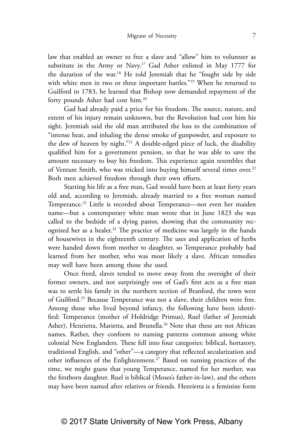law that enabled an owner to free a slave and "allow" him to volunteer as substitute in the Army or Navy.17 Gad Asher enlisted in May 1777 for the duration of the war.18 He told Jeremiah that he "fought side by side with white men in two or three important battles."<sup>19</sup> When he returned to Guilford in 1783, he learned that Bishop now demanded repayment of the forty pounds Asher had cost him.20

Gad had already paid a price for his freedom. The source, nature, and extent of his injury remain unknown, but the Revolution had cost him his sight. Jeremiah said the old man attributed the loss to the combination of "intense heat, and inhaling the dense smoke of gunpowder, and exposure to the dew of heaven by night."21 A double-edged piece of luck, the disability qualified him for a government pension, so that he was able to save the amount necessary to buy his freedom. This experience again resembles that of Venture Smith, who was tricked into buying himself several times over.<sup>22</sup> Both men achieved freedom through their own efforts.

Starting his life as a free man, Gad would have been at least forty years old and, according to Jeremiah, already married to a free woman named Temperance.23 Little is recorded about Temperance—not even her maiden name—but a contemporary white man wrote that in June 1823 she was called to the bedside of a dying pastor, showing that the community recognized her as a healer.<sup>24</sup> The practice of medicine was largely in the hands of housewives in the eighteenth century. The uses and application of herbs were handed down from mother to daughter, so Temperance probably had learned from her mother, who was most likely a slave. African remedies may well have been among those she used.

Once freed, slaves tended to move away from the oversight of their former owners, and not surprisingly one of Gad's first acts as a free man was to settle his family in the northern section of Branford, the town west of Guilford.25 Because Temperance was not a slave, their children were free. Among those who lived beyond infancy, the following have been identified: Temperance (mother of Holdridge Primus), Ruel (father of Jeremiah Asher), Henrietta, Marietta, and Brunella.<sup>26</sup> Note that these are not African names. Rather, they conform to naming patterns common among white colonial New Englanders. These fell into four categories: biblical, hortatory, traditional English, and "other"—a category that reflected secularization and other influences of the Enlightenment.27 Based on naming practices of the time, we might guess that young Temperance, named for her mother, was the firstborn daughter. Ruel is biblical (Moses's father-in-law), and the others may have been named after relatives or friends. Henrietta is a feminine form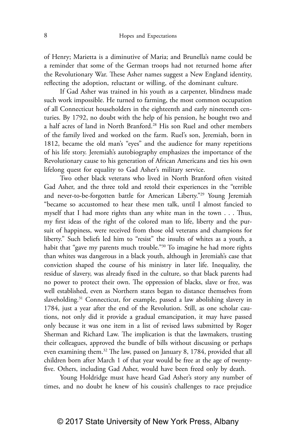of Henry; Marietta is a diminutive of Maria; and Brunella's name could be a reminder that some of the German troops had not returned home after the Revolutionary War. These Asher names suggest a New England identity, reflecting the adoption, reluctant or willing, of the dominant culture.

If Gad Asher was trained in his youth as a carpenter, blindness made such work impossible. He turned to farming, the most common occupation of all Connecticut householders in the eighteenth and early nineteenth centuries. By 1792, no doubt with the help of his pension, he bought two and a half acres of land in North Branford.28 His son Ruel and other members of the family lived and worked on the farm. Ruel's son, Jeremiah, born in 1812, became the old man's "eyes" and the audience for many repetitions of his life story. Jeremiah's autobiography emphasizes the importance of the Revolutionary cause to his generation of African Americans and ties his own lifelong quest for equality to Gad Asher's military service.

Two other black veterans who lived in North Branford often visited Gad Asher, and the three told and retold their experiences in the "terrible and never-to-be-forgotten battle for American Liberty."29 Young Jeremiah "became so accustomed to hear these men talk, until I almost fancied to myself that I had more rights than any white man in the town . . . Thus, my first ideas of the right of the colored man to life, liberty and the pursuit of happiness, were received from those old veterans and champions for liberty." Such beliefs led him to "resist" the insults of whites as a youth, a habit that "gave my parents much trouble."<sup>30</sup> To imagine he had more rights than whites was dangerous in a black youth, although in Jeremiah's case that conviction shaped the course of his ministry in later life. Inequality, the residue of slavery, was already fixed in the culture, so that black parents had no power to protect their own. The oppression of blacks, slave or free, was well established, even as Northern states began to distance themselves from slaveholding.<sup>31</sup> Connecticut, for example, passed a law abolishing slavery in 1784, just a year after the end of the Revolution. Still, as one scholar cautions, not only did it provide a gradual emancipation, it may have passed only because it was one item in a list of revised laws submitted by Roger Sherman and Richard Law. The implication is that the lawmakers, trusting their colleagues, approved the bundle of bills without discussing or perhaps even examining them.32 The law, passed on January 8, 1784, provided that all children born after March 1 of that year would be free at the age of twentyfive. Others, including Gad Asher, would have been freed only by death.

Young Holdridge must have heard Gad Asher's story any number of times, and no doubt he knew of his cousin's challenges to race prejudice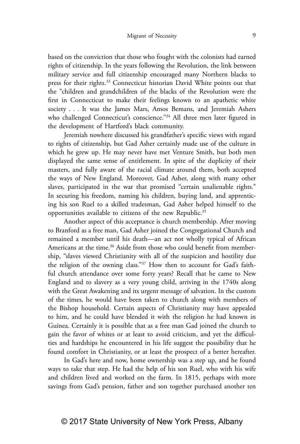based on the conviction that those who fought with the colonists had earned rights of citizenship. In the years following the Revolution, the link between military service and full citizenship encouraged many Northern blacks to press for their rights.<sup>33</sup> Connecticut historian David White points out that the "children and grandchildren of the blacks of the Revolution were the first in Connecticut to make their feelings known to an apathetic white society . . . It was the James Mars, Amos Bemans, and Jeremiah Ashers who challenged Connecticut's conscience."<sup>34</sup> All three men later figured in the development of Hartford's black community.

Jeremiah nowhere discussed his grandfather's specific views with regard to rights of citizenship, but Gad Asher certainly made use of the culture in which he grew up. He may never have met Venture Smith, but both men displayed the same sense of entitlement. In spite of the duplicity of their masters, and fully aware of the racial climate around them, both accepted the ways of New England. Moreover, Gad Asher, along with many other slaves, participated in the war that promised "certain unalienable rights." In securing his freedom, naming his children, buying land, and apprenticing his son Ruel to a skilled tradesman, Gad Asher helped himself to the opportunities available to citizens of the new Republic.<sup>35</sup>

Another aspect of this acceptance is church membership. After moving to Branford as a free man, Gad Asher joined the Congregational Church and remained a member until his death—an act not wholly typical of African Americans at the time.<sup>36</sup> Aside from those who could benefit from membership, "slaves viewed Christianity with all of the suspicion and hostility due the religion of the owning class."37 How then to account for Gad's faithful church attendance over some forty years? Recall that he came to New England and to slavery as a very young child, arriving in the 1740s along with the Great Awakening and its urgent message of salvation. In the custom of the times, he would have been taken to church along with members of the Bishop household. Certain aspects of Christianity may have appealed to him, and he could have blended it with the religion he had known in Guinea. Certainly it is possible that as a free man Gad joined the church to gain the favor of whites or at least to avoid criticism, and yet the difficulties and hardships he encountered in his life suggest the possibility that he found comfort in Christianity, or at least the prospect of a better hereafter.

In Gad's here and now, home ownership was a step up, and he found ways to take that step. He had the help of his son Ruel, who with his wife and children lived and worked on the farm. In 1815, perhaps with more savings from Gad's pension, father and son together purchased another ten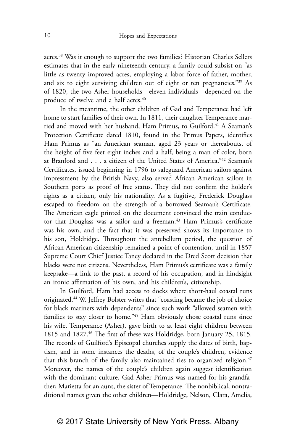acres.38 Was it enough to support the two families? Historian Charles Sellers estimates that in the early nineteenth century, a family could subsist on "as little as twenty improved acres, employing a labor force of father, mother, and six to eight surviving children out of eight or ten pregnancies."39 As of 1820, the two Asher households—eleven individuals—depended on the produce of twelve and a half acres.<sup>40</sup>

In the meantime, the other children of Gad and Temperance had left home to start families of their own. In 1811, their daughter Temperance married and moved with her husband, Ham Primus, to Guilford.<sup>41</sup> A Seaman's Protection Certificate dated 1810, found in the Primus Papers, identifies Ham Primus as "an American seaman, aged 23 years or thereabouts, of the height of five feet eight inches and a half, being a man of color, born at Branford and . . . a citizen of the United States of America."42 Seaman's Certificates, issued beginning in 1796 to safeguard American sailors against impressment by the British Navy, also served African American sailors in Southern ports as proof of free status. They did not confirm the holder's rights as a citizen, only his nationality. As a fugitive, Frederick Douglass escaped to freedom on the strength of a borrowed Seaman's Certificate. The American eagle printed on the document convinced the train conductor that Douglass was a sailor and a freeman.<sup>43</sup> Ham Primus's certificate was his own, and the fact that it was preserved shows its importance to his son, Holdridge. Throughout the antebellum period, the question of African American citizenship remained a point of contention, until in 1857 Supreme Court Chief Justice Taney declared in the Dred Scott decision that blacks were not citizens. Nevertheless, Ham Primus's certificate was a family keepsake—a link to the past, a record of his occupation, and in hindsight an ironic affirmation of his own, and his children's, citizenship.

In Guilford, Ham had access to docks where short-haul coastal runs originated.44 W. Jeffrey Bolster writes that "coasting became the job of choice for black mariners with dependents" since such work "allowed seamen with families to stay closer to home."45 Ham obviously chose coastal runs since his wife, Temperance (Asher), gave birth to at least eight children between 1815 and 1827.<sup>46</sup> The first of these was Holdridge, born January 25, 1815. The records of Guilford's Episcopal churches supply the dates of birth, baptism, and in some instances the deaths, of the couple's children, evidence that this branch of the family also maintained ties to organized religion.<sup>47</sup> Moreover, the names of the couple's children again suggest identification with the dominant culture. Gad Asher Primus was named for his grandfather; Marietta for an aunt, the sister of Temperance. The nonbiblical, nontraditional names given the other children—Holdridge, Nelson, Clara, Amelia,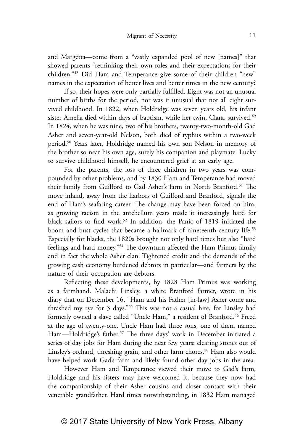and Margetta—come from a "vastly expanded pool of new [names]" that showed parents "rethinking their own roles and their expectations for their children."48 Did Ham and Temperance give some of their children "new" names in the expectation of better lives and better times in the new century?

If so, their hopes were only partially fulfilled. Eight was not an unusual number of births for the period, nor was it unusual that not all eight survived childhood. In 1822, when Holdridge was seven years old, his infant sister Amelia died within days of baptism, while her twin, Clara, survived.<sup>49</sup> In 1824, when he was nine, two of his brothers, twenty-two-month-old Gad Asher and seven-year-old Nelson, both died of typhus within a two-week period.50 Years later, Holdridge named his own son Nelson in memory of the brother so near his own age, surely his companion and playmate. Lucky to survive childhood himself, he encountered grief at an early age.

For the parents, the loss of three children in two years was compounded by other problems, and by 1830 Ham and Temperance had moved their family from Guilford to Gad Asher's farm in North Branford.<sup>51</sup> The move inland, away from the harbors of Guilford and Branford, signals the end of Ham's seafaring career. The change may have been forced on him, as growing racism in the antebellum years made it increasingly hard for black sailors to find work.52 In addition, the Panic of 1819 initiated the boom and bust cycles that became a hallmark of nineteenth-century life.<sup>53</sup> Especially for blacks, the 1820s brought not only hard times but also "hard feelings and hard money."54 The downturn affected the Ham Primus family and in fact the whole Asher clan. Tightened credit and the demands of the growing cash economy burdened debtors in particular—and farmers by the nature of their occupation are debtors.

Reflecting these developments, by 1828 Ham Primus was working as a farmhand. Malachi Linsley, a white Branford farmer, wrote in his diary that on December 16, "Ham and his Father [in-law] Asher come and thrashed my rye for 3 days."55 This was not a casual hire, for Linsley had formerly owned a slave called "Uncle Ham," a resident of Branford.56 Freed at the age of twenty-one, Uncle Ham had three sons, one of them named Ham-Holdridge's father.<sup>57</sup> The three days' work in December initiated a series of day jobs for Ham during the next few years: clearing stones out of Linsley's orchard, threshing grain, and other farm chores.<sup>58</sup> Ham also would have helped work Gad's farm and likely found other day jobs in the area.

However Ham and Temperance viewed their move to Gad's farm, Holdridge and his sisters may have welcomed it, because they now had the companionship of their Asher cousins and closer contact with their venerable grandfather. Hard times notwithstanding, in 1832 Ham managed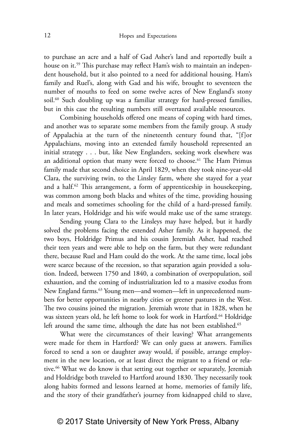to purchase an acre and a half of Gad Asher's land and reportedly built a house on it.<sup>59</sup> This purchase may reflect Ham's wish to maintain an independent household, but it also pointed to a need for additional housing. Ham's family and Ruel's, along with Gad and his wife, brought to seventeen the number of mouths to feed on some twelve acres of New England's stony soil.<sup>60</sup> Such doubling up was a familiar strategy for hard-pressed families, but in this case the resulting numbers still overtaxed available resources.

Combining households offered one means of coping with hard times, and another was to separate some members from the family group. A study of Appalachia at the turn of the nineteenth century found that, "[f]or Appalachians, moving into an extended family household represented an initial strategy . . . but, like New Englanders, seeking work elsewhere was an additional option that many were forced to choose.<sup>61</sup> The Ham Primus family made that second choice in April 1829, when they took nine-year-old Clara, the surviving twin, to the Linsley farm, where she stayed for a year and a half.<sup>62</sup> This arrangement, a form of apprenticeship in housekeeping, was common among both blacks and whites of the time, providing housing and meals and sometimes schooling for the child of a hard-pressed family. In later years, Holdridge and his wife would make use of the same strategy.

Sending young Clara to the Linsleys may have helped, but it hardly solved the problems facing the extended Asher family. As it happened, the two boys, Holdridge Primus and his cousin Jeremiah Asher, had reached their teen years and were able to help on the farm, but they were redundant there, because Ruel and Ham could do the work. At the same time, local jobs were scarce because of the recession, so that separation again provided a solution. Indeed, between 1750 and 1840, a combination of overpopulation, soil exhaustion, and the coming of industrialization led to a massive exodus from New England farms.<sup>63</sup> Young men—and women—left in unprecedented numbers for better opportunities in nearby cities or greener pastures in the West. The two cousins joined the migration. Jeremiah wrote that in 1828, when he was sixteen years old, he left home to look for work in Hartford.<sup>64</sup> Holdridge left around the same time, although the date has not been established.<sup>65</sup>

What were the circumstances of their leaving? What arrangements were made for them in Hartford? We can only guess at answers. Families forced to send a son or daughter away would, if possible, arrange employment in the new location, or at least direct the migrant to a friend or relative.<sup>66</sup> What we do know is that setting out together or separately, Jeremiah and Holdridge both traveled to Hartford around 1830. They necessarily took along habits formed and lessons learned at home, memories of family life, and the story of their grandfather's journey from kidnapped child to slave,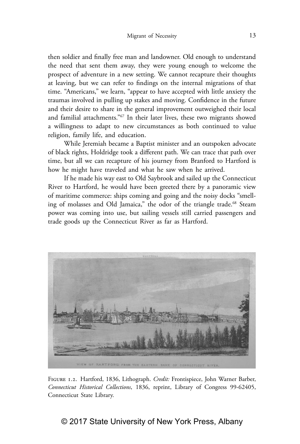then soldier and finally free man and landowner. Old enough to understand the need that sent them away, they were young enough to welcome the prospect of adventure in a new setting. We cannot recapture their thoughts at leaving, but we can refer to findings on the internal migrations of that time. "Americans," we learn, "appear to have accepted with little anxiety the traumas involved in pulling up stakes and moving. Confidence in the future and their desire to share in the general improvement outweighed their local and familial attachments."67 In their later lives, these two migrants showed a willingness to adapt to new circumstances as both continued to value religion, family life, and education.

While Jeremiah became a Baptist minister and an outspoken advocate of black rights, Holdridge took a different path. We can trace that path over time, but all we can recapture of his journey from Branford to Hartford is how he might have traveled and what he saw when he arrived.

If he made his way east to Old Saybrook and sailed up the Connecticut River to Hartford, he would have been greeted there by a panoramic view of maritime commerce: ships coming and going and the noisy docks "smelling of molasses and Old Jamaica," the odor of the triangle trade.<sup>68</sup> Steam power was coming into use, but sailing vessels still carried passengers and trade goods up the Connecticut River as far as Hartford.



Figure 1.2. Hartford, 1836, Lithograph. *Credit:* Frontispiece, John Warner Barber, *Connecticut Historical Collections*, 1836, reprint, Library of Congress 99-62405, Connecticut State Library.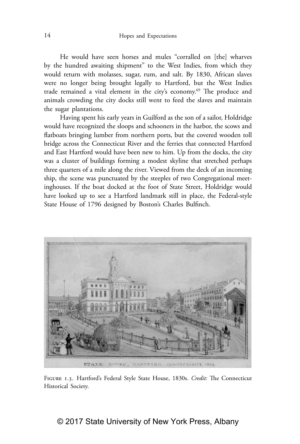He would have seen horses and mules "corralled on [the] wharves by the hundred awaiting shipment" to the West Indies, from which they would return with molasses, sugar, rum, and salt. By 1830, African slaves were no longer being brought legally to Hartford, but the West Indies trade remained a vital element in the city's economy.69 The produce and animals crowding the city docks still went to feed the slaves and maintain the sugar plantations.

Having spent his early years in Guilford as the son of a sailor, Holdridge would have recognized the sloops and schooners in the harbor, the scows and flatboats bringing lumber from northern ports, but the covered wooden toll bridge across the Connecticut River and the ferries that connected Hartford and East Hartford would have been new to him. Up from the docks, the city was a cluster of buildings forming a modest skyline that stretched perhaps three quarters of a mile along the river. Viewed from the deck of an incoming ship, the scene was punctuated by the steeples of two Congregational meetinghouses. If the boat docked at the foot of State Street, Holdridge would have looked up to see a Hartford landmark still in place, the Federal-style State House of 1796 designed by Boston's Charles Bulfinch.



Figure 1.3. Hartford's Federal Style State House, 1830s. *Credit:* The Connecticut Historical Society.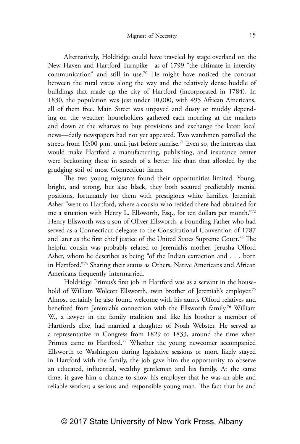Alternatively, Holdridge could have traveled by stage overland on the New Haven and Hartford Turnpike—as of 1799 "the ultimate in intercity communication" and still in use.70 He might have noticed the contrast between the rural vistas along the way and the relatively dense huddle of buildings that made up the city of Hartford (incorporated in 1784). In 1830, the population was just under 10,000, with 495 African Americans, all of them free. Main Street was unpaved and dusty or muddy depending on the weather; householders gathered each morning at the markets and down at the wharves to buy provisions and exchange the latest local news—daily newspapers had not yet appeared. Two watchmen patrolled the streets from 10:00 p.m. until just before sunrise.<sup>71</sup> Even so, the interests that would make Hartford a manufacturing, publishing, and insurance center were beckoning those in search of a better life than that afforded by the grudging soil of most Connecticut farms.

The two young migrants found their opportunities limited. Young, bright, and strong, but also black, they both secured predictably menial positions, fortunately for them with prestigious white families. Jeremiah Asher "went to Hartford, where a cousin who resided there had obtained for me a situation with Henry L. Ellsworth, Esq., for ten dollars per month."72 Henry Ellsworth was a son of Oliver Ellsworth, a Founding Father who had served as a Connecticut delegate to the Constitutional Convention of 1787 and later as the first chief justice of the United States Supreme Court.73 The helpful cousin was probably related to Jeremiah's mother, Jerusha Olford Asher, whom he describes as being "of the Indian extraction and . . . born in Hartford."74 Sharing their status as Others, Native Americans and African Americans frequently intermarried.

Holdridge Primus's first job in Hartford was as a servant in the household of William Wolcott Ellsworth, twin brother of Jeremiah's employer.<sup>75</sup> Almost certainly he also found welcome with his aunt's Olford relatives and benefited from Jeremiah's connection with the Ellsworth family.<sup>76</sup> William W., a lawyer in the family tradition and like his brother a member of Hartford's elite, had married a daughter of Noah Webster. He served as a representative in Congress from 1829 to 1833, around the time when Primus came to Hartford.<sup>77</sup> Whether the young newcomer accompanied Ellsworth to Washington during legislative sessions or more likely stayed in Hartford with the family, the job gave him the opportunity to observe an educated, influential, wealthy gentleman and his family. At the same time, it gave him a chance to show his employer that he was an able and reliable worker; a serious and responsible young man. The fact that he and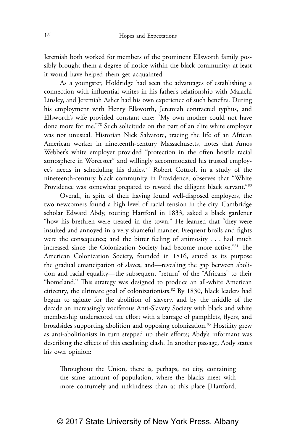Jeremiah both worked for members of the prominent Ellsworth family possibly brought them a degree of notice within the black community; at least it would have helped them get acquainted.

As a youngster, Holdridge had seen the advantages of establishing a connection with influential whites in his father's relationship with Malachi Linsley, and Jeremiah Asher had his own experience of such benefits. During his employment with Henry Ellsworth, Jeremiah contracted typhus, and Ellsworth's wife provided constant care: "My own mother could not have done more for me."78 Such solicitude on the part of an elite white employer was not unusual. Historian Nick Salvatore, tracing the life of an African American worker in nineteenth-century Massachusetts, notes that Amos Webber's white employer provided "protection in the often hostile racial atmosphere in Worcester" and willingly accommodated his trusted employee's needs in scheduling his duties.79 Robert Cottrol, in a study of the nineteenth-century black community in Providence, observes that "White Providence was somewhat prepared to reward the diligent black servant."<sup>80</sup>

Overall, in spite of their having found well-disposed employers, the two newcomers found a high level of racial tension in the city. Cambridge scholar Edward Abdy, touring Hartford in 1833, asked a black gardener "how his brethren were treated in the town." He learned that "they were insulted and annoyed in a very shameful manner. Frequent broils and fights were the consequence; and the bitter feeling of animosity . . . had much increased since the Colonization Society had become more active."81 The American Colonization Society, founded in 1816, stated as its purpose the gradual emancipation of slaves, and—revealing the gap between abolition and racial equality—the subsequent "return" of the "Africans" to their "homeland." This strategy was designed to produce an all-white American citizenry, the ultimate goal of colonizationists.82 By 1830, black leaders had begun to agitate for the abolition of slavery, and by the middle of the decade an increasingly vociferous Anti-Slavery Society with black and white membership underscored the effort with a barrage of pamphlets, flyers, and broadsides supporting abolition and opposing colonization.83 Hostility grew as anti-abolitionists in turn stepped up their efforts; Abdy's informant was describing the effects of this escalating clash. In another passage, Abdy states his own opinion:

Throughout the Union, there is, perhaps, no city, containing the same amount of population, where the blacks meet with more contumely and unkindness than at this place [Hartford,